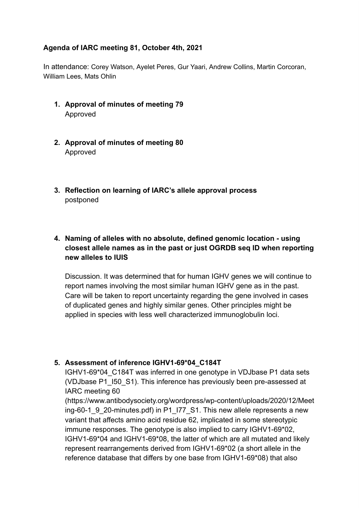## **Agenda of IARC meeting 81, October 4th, 2021**

In attendance: Corey Watson, Ayelet Peres, Gur Yaari, Andrew Collins, Martin Corcoran, William Lees, Mats Ohlin

- 1. Approval of minutes of meeting 79 Approved
- **2.** Approval of minutes of meeting 80 Approved
- **3.** Reflection on learning of IARC's allele approval process postponed

## **4.** Naming of alleles with no absolute, defined genomic location - using *Closest allele names as in the past or just OGRDB seq ID when reporting* **new alleles to IUIS**

Discussion. It was determined that for human IGHV genes we will continue to report names involving the most similar human IGHV gene as in the past. Care will be taken to report uncertainty regarding the gene involved in cases of duplicated genes and highly similar genes. Other principles might be applied in species with less well characterized immunoglobulin loci.

### **5. Assessment of inference IGHV1-69\*04 C184T**

IGHV1-69\*04\_C184T was inferred in one genotype in VDJbase P1 data sets (VDJbase P1\_I50\_S1). This inference has previously been pre-assessed at IARC meeting 60

(https://www.antibodysociety.org/wordpress/wp-content/uploads/2020/12/Meet ing-60-1\_9\_20-minutes.pdf) in P1\_I77\_S1. This new allele represents a new variant that affects amino acid residue 62, implicated in some stereotypic immune responses. The genotype is also implied to carry IGHV1-69\*02, IGHV1-69\*04 and IGHV1-69\*08, the latter of which are all mutated and likely represent rearrangements derived from IGHV1-69\*02 (a short allele in the reference database that differs by one base from IGHV1-69\*08) that also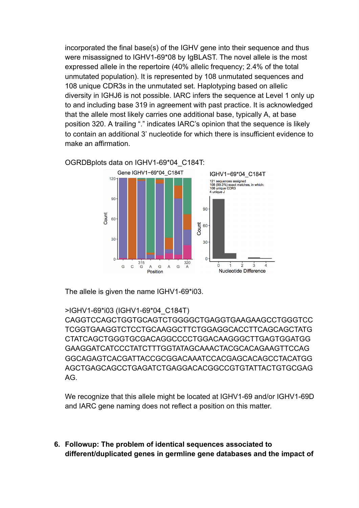incorporated the final base(s) of the IGHV gene into their sequence and thus were misassigned to IGHV1-69\*08 by IgBLAST. The novel allele is the most expressed allele in the repertoire (40% allelic frequency; 2.4% of the total unmutated population). It is represented by 108 unmutated sequences and 108 unique CDR3s in the unmutated set. Haplotyping based on allelic diversity in IGHJ6 is not possible. IARC infers the sequence at Level 1 only up to and including base 319 in agreement with past practice. It is acknowledged that the allele most likely carries one additional base, typically A, at base position 320. A trailing "." indicates IARC's opinion that the sequence is likely to contain an additional 3' nucleotide for which there is insufficient evidence to make an affirmation.



OGRDBplots data on IGHV1-69\*04\_C184T:

The allele is given the name IGHV1-69\*i03.

#### >IGHV1-69\*i03 (IGHV1-69\*04\_C184T)

CAGGTCCAGCTGGTGCAGTCTGGGGCTGAGGTGAAGAAGCCTGGGTCC TCGGTGAAGGTCTCCTGCAAGGCTTCTGGAGGCACCTTCAGCAGCTATG CTATCAGCTGGGTGCGACAGGCCCCTGGACAAGGGCTTGAGTGGATGG GAAGGATCATCCCTATCTTTGGTATAGCAAACTACGCACAGAAGTTCCAG GGCAGAGTCACGATTACCGCGGACAAATCCACGAGCACAGCCTACATGG AGCTGAGCAGCCTGAGATCTGAGGACACGGCCGTGTATTACTGTGCGAG AG.

We recognize that this allele might be located at IGHV1-69 and/or IGHV1-69D and IARC gene naming does not reflect a position on this matter.

**6.** Followup: The problem of identical sequences associated to **different/duplicated genes in germline gene databases and the impact of**